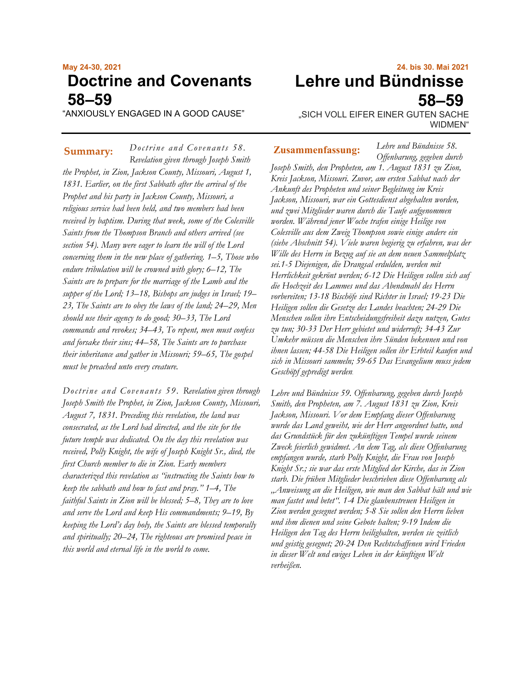# **May 24-30, 2021 Doctrine and Covenants 58–59**

"ANXIOUSLY ENGAGED IN A GOOD CAUSE"

*Doctrine and Covenants 58. Revelation given through Joseph Smith the Prophet, in Zion, Jackson County, Missouri, August 1, 1831. Earlier, on the first Sabbath after the arrival of the Prophet and his party in Jackson County, Missouri, a religious service had been held, and two members had been received by baptism. During that week, some of the Colesville Saints from the Thompson Branch and others arrived (see section 54). Many were eager to learn the will of the Lord concerning them in the new place of gathering. 1–5, Those who endure tribulation will be crowned with glory; 6–12, The Saints are to prepare for the marriage of the Lamb and the supper of the Lord; 13–18, Bishops are judges in Israel; 19– 23, The Saints are to obey the laws of the land; 24–29, Men should use their agency to do good; 30–33, The Lord commands and revokes; 34–43, To repent, men must confess and forsake their sins; 44–58, The Saints are to purchase their inheritance and gather in Missouri; 59–65, The gospel must be preached unto every creature.* Summary: Doctrine and Covenants 58. **Zusammenfassung:** 

*Doctrine and Covenants 59. Revelation given through Joseph Smith the Prophet, in Zion, Jackson County, Missouri, August 7, 1831. Preceding this revelation, the land was consecrated, as the Lord had directed, and the site for the future temple was dedicated. On the day this revelation was received, Polly Knight, the wife of Joseph Knight Sr., died, the first Church member to die in Zion. Early members characterized this revelation as "instructing the Saints how to keep the sabbath and how to fast and pray." 1–4, The faithful Saints in Zion will be blessed; 5–8, They are to love and serve the Lord and keep His commandments; 9–19, By keeping the Lord's day holy, the Saints are blessed temporally and spiritually; 20–24, The righteous are promised peace in this world and eternal life in the world to come.*

# **24. bis 30. Mai 2021 Lehre und Bündnisse 58–59**

"SICH VOLL EIFER EINER GUTEN SACHE WIDMEN"

*Lehre und Bündnisse 58.*

*Offenbarung, gegeben durch Joseph Smith, den Propheten, am 1. August 1831 zu Zion, Kreis Jackson, Missouri. Zuvor, am ersten Sabbat nach der Ankunft des Propheten und seiner Begleitung im Kreis Jackson, Missouri, war ein Gottesdienst abgehalten worden, und zwei Mitglieder waren durch die Taufe aufgenommen worden. Während jener Woche trafen einige Heilige von Colesville aus dem Zweig Thompson sowie einige andere ein (siehe Abschnitt 54). Viele waren begierig zu erfahren, was der Wille des Herrn in Bezug auf sie an dem neuen Sammelplatz sei.1-5 Diejenigen, die Drangsal erdulden, werden mit Herrlichkeit gekrönt werden; 6-12 Die Heiligen sollen sich auf die Hochzeit des Lammes und das Abendmahl des Herrn vorbereiten; 13-18 Bischöfe sind Richter in Israel; 19-23 Die Heiligen sollen die Gesetze des Landes beachten; 24-29 Die Menschen sollen ihre Entscheidungsfreiheit dazu nutzen, Gutes zu tun; 30-33 Der Herr gebietet und widerruft; 34-43 Zur Umkehr müssen die Menschen ihre Sünden bekennen und von ihnen lassen; 44-58 Die Heiligen sollen ihr Erbteil kaufen und sich in Missouri sammeln; 59-65 Das Evangelium muss jedem Geschöpf gepredigt werden.*

*Lehre und Bündnisse 59. Offenbarung, gegeben durch Joseph Smith, den Propheten, am 7. August 1831 zu Zion, Kreis Jackson, Missouri. Vor dem Empfang dieser Offenbarung wurde das Land geweiht, wie der Herr angeordnet hatte, und das Grundstück für den zukünftigen Tempel wurde seinem Zweck feierlich gewidmet. An dem Tag, als diese Offenbarung empfangen wurde, starb Polly Knight, die Frau von Joseph Knight Sr.; sie war das erste Mitglied der Kirche, das in Zion starb. Die frühen Mitglieder beschrieben diese Offenbarung als "Anweisung an die Heiligen, wie man den Sabbat hält und wie man fastet und betet". 1-4 Die glaubenstreuen Heiligen in Zion werden gesegnet werden; 5-8 Sie sollen den Herrn lieben und ihm dienen und seine Gebote halten; 9-19 Indem die Heiligen den Tag des Herrn heilighalten, werden sie zeitlich und geistig gesegnet; 20-24 Den Rechtschaffenen wird Frieden in dieser Welt und ewiges Leben in der künftigen Welt verheißen.*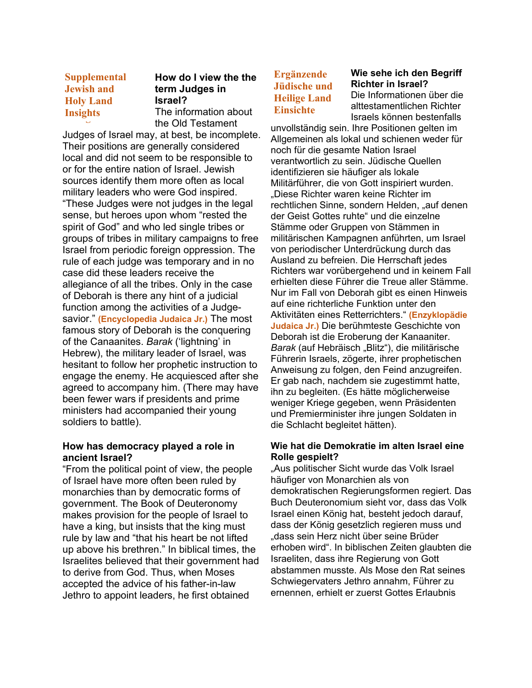**Supplemental Supplemental Jewish and Jewish and Holy Land Holy Land Insights Insights**

## **How do I view the the term Judges in Israel?**

The information about the Old Testament

Judges of Israel may, at best, be incomplete. Their positions are generally considered local and did not seem to be responsible to or for the entire nation of Israel. Jewish sources identify them more often as local military leaders who were God inspired. "These Judges were not judges in the legal sense, but heroes upon whom "rested the spirit of God" and who led single tribes or groups of tribes in military campaigns to free Israel from periodic foreign oppression. The rule of each judge was temporary and in no case did these leaders receive the allegiance of all the tribes. Only in the case of Deborah is there any hint of a judicial function among the activities of a Judgesavior." **(Encyclopedia Judaica Jr.)** The most famous story of Deborah is the conquering of the Canaanites. *Barak* ('lightning' in Hebrew), the military leader of Israel, was hesitant to follow her prophetic instruction to engage the enemy. He acquiesced after she agreed to accompany him. (There may have been fewer wars if presidents and prime ministers had accompanied their young soldiers to battle).

#### **How has democracy played a role in ancient Israel?**

"From the political point of view, the people of Israel have more often been ruled by monarchies than by democratic forms of government. The Book of Deuteronomy makes provision for the people of Israel to have a king, but insists that the king must rule by law and "that his heart be not lifted up above his brethren." In biblical times, the Israelites believed that their government had to derive from God. Thus, when Moses accepted the advice of his father-in-law Jethro to appoint leaders, he first obtained

## **Ergänzende Jüdische und Heilige Land Einsichte**

**Wie sehe ich den Begriff Richter in Israel?** Die Informationen über die alttestamentlichen Richter Israels können bestenfalls

unvollständig sein. Ihre Positionen gelten im Allgemeinen als lokal und schienen weder für noch für die gesamte Nation Israel verantwortlich zu sein. Jüdische Quellen identifizieren sie häufiger als lokale Militärführer, die von Gott inspiriert wurden. Diese Richter waren keine Richter im rechtlichen Sinne, sondern Helden, "auf denen der Geist Gottes ruhte" und die einzelne Stämme oder Gruppen von Stämmen in militärischen Kampagnen anführten, um Israel von periodischer Unterdrückung durch das Ausland zu befreien. Die Herrschaft jedes Richters war vorübergehend und in keinem Fall erhielten diese Führer die Treue aller Stämme. Nur im Fall von Deborah gibt es einen Hinweis auf eine richterliche Funktion unter den Aktivitäten eines Retterrichters." **(Enzyklopädie Judaica Jr.)** Die berühmteste Geschichte von Deborah ist die Eroberung der Kanaaniter. Barak (auf Hebräisch "Blitz"), die militärische Führerin Israels, zögerte, ihrer prophetischen Anweisung zu folgen, den Feind anzugreifen. Er gab nach, nachdem sie zugestimmt hatte, ihn zu begleiten. (Es hätte möglicherweise weniger Kriege gegeben, wenn Präsidenten und Premierminister ihre jungen Soldaten in die Schlacht begleitet hätten).

#### **Wie hat die Demokratie im alten Israel eine Rolle gespielt?**

"Aus politischer Sicht wurde das Volk Israel häufiger von Monarchien als von demokratischen Regierungsformen regiert. Das Buch Deuteronomium sieht vor, dass das Volk Israel einen König hat, besteht jedoch darauf, dass der König gesetzlich regieren muss und "dass sein Herz nicht über seine Brüder erhoben wird". In biblischen Zeiten glaubten die Israeliten, dass ihre Regierung von Gott abstammen musste. Als Mose den Rat seines Schwiegervaters Jethro annahm, Führer zu ernennen, erhielt er zuerst Gottes Erlaubnis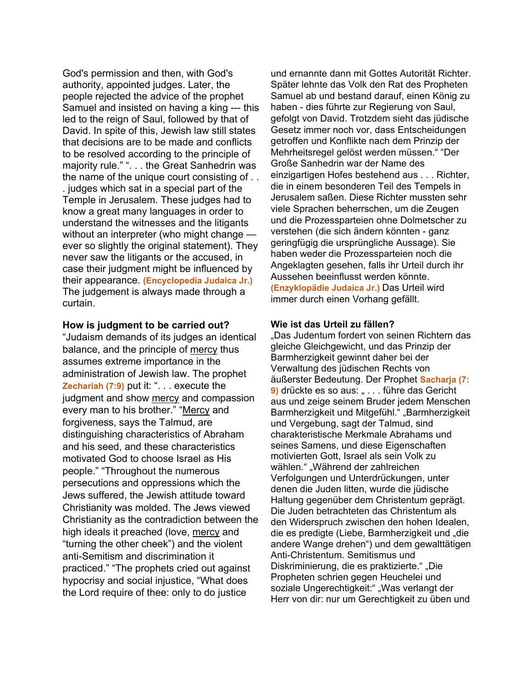God's permission and then, with God's authority, appointed judges. Later, the people rejected the advice of the prophet Samuel and insisted on having a king --- this led to the reign of Saul, followed by that of David. In spite of this, Jewish law still states that decisions are to be made and conflicts to be resolved according to the principle of majority rule." ". . . the Great Sanhedrin was the name of the unique court consisting of . . . judges which sat in a special part of the Temple in Jerusalem. These judges had to know a great many languages in order to understand the witnesses and the litigants without an interpreter (who might change ever so slightly the original statement). They never saw the litigants or the accused, in case their judgment might be influenced by their appearance. **(Encyclopedia Judaica Jr.)** The judgement is always made through a curtain.

#### **How is judgment to be carried out?**

"Judaism demands of its judges an identical balance, and the principle of mercy thus assumes extreme importance in the administration of Jewish law. The prophet **Zechariah (7:9)** put it: ". . . execute the judgment and show mercy and compassion every man to his brother." "Mercy and forgiveness, says the Talmud, are distinguishing characteristics of Abraham and his seed, and these characteristics motivated God to choose Israel as His people." "Throughout the numerous persecutions and oppressions which the Jews suffered, the Jewish attitude toward Christianity was molded. The Jews viewed Christianity as the contradiction between the high ideals it preached (love, mercy and "turning the other cheek") and the violent anti-Semitism and discrimination it practiced." "The prophets cried out against hypocrisy and social injustice, "What does the Lord require of thee: only to do justice

und ernannte dann mit Gottes Autorität Richter. Später lehnte das Volk den Rat des Propheten Samuel ab und bestand darauf, einen König zu haben - dies führte zur Regierung von Saul, gefolgt von David. Trotzdem sieht das jüdische Gesetz immer noch vor, dass Entscheidungen getroffen und Konflikte nach dem Prinzip der Mehrheitsregel gelöst werden müssen." "Der Große Sanhedrin war der Name des einzigartigen Hofes bestehend aus . . . Richter, die in einem besonderen Teil des Tempels in Jerusalem saßen. Diese Richter mussten sehr viele Sprachen beherrschen, um die Zeugen und die Prozessparteien ohne Dolmetscher zu verstehen (die sich ändern könnten - ganz geringfügig die ursprüngliche Aussage). Sie haben weder die Prozessparteien noch die Angeklagten gesehen, falls ihr Urteil durch ihr Aussehen beeinflusst werden könnte. **(Enzyklopädie Judaica Jr.)** Das Urteil wird immer durch einen Vorhang gefällt.

#### **Wie ist das Urteil zu fällen?**

"Das Judentum fordert von seinen Richtern das gleiche Gleichgewicht, und das Prinzip der Barmherzigkeit gewinnt daher bei der Verwaltung des jüdischen Rechts von äußerster Bedeutung. Der Prophet **Sacharja (7: 9)** drückte es so aus: " . . . führe das Gericht aus und zeige seinem Bruder jedem Menschen Barmherzigkeit und Mitgefühl." "Barmherzigkeit und Vergebung, sagt der Talmud, sind charakteristische Merkmale Abrahams und seines Samens, und diese Eigenschaften motivierten Gott, Israel als sein Volk zu wählen." "Während der zahlreichen Verfolgungen und Unterdrückungen, unter denen die Juden litten, wurde die jüdische Haltung gegenüber dem Christentum geprägt. Die Juden betrachteten das Christentum als den Widerspruch zwischen den hohen Idealen, die es predigte (Liebe, Barmherzigkeit und "die andere Wange drehen") und dem gewalttätigen Anti-Christentum. Semitismus und Diskriminierung, die es praktizierte." "Die Propheten schrien gegen Heuchelei und soziale Ungerechtigkeit:" "Was verlangt der Herr von dir: nur um Gerechtigkeit zu üben und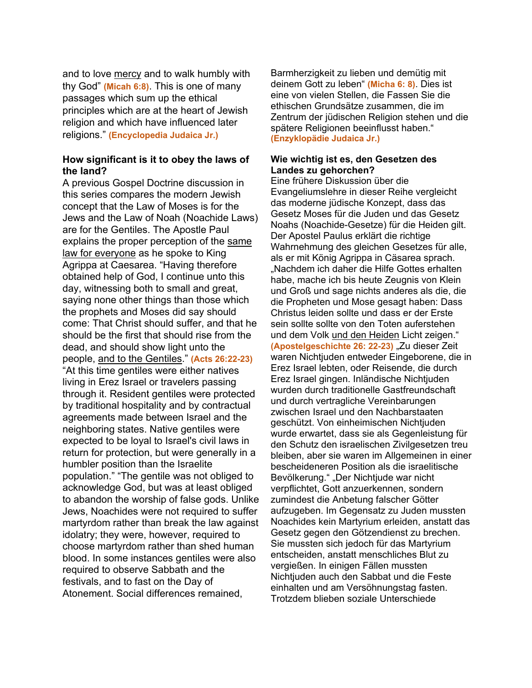and to love mercy and to walk humbly with thy God" **(Micah 6:8)**. This is one of many passages which sum up the ethical principles which are at the heart of Jewish religion and which have influenced later religions." **(Encyclopedia Judaica Jr.)**

#### **How significant is it to obey the laws of the land?**

A previous Gospel Doctrine discussion in this series compares the modern Jewish concept that the Law of Moses is for the Jews and the Law of Noah (Noachide Laws) are for the Gentiles. The Apostle Paul explains the proper perception of the same law for everyone as he spoke to King Agrippa at Caesarea. "Having therefore obtained help of God, I continue unto this day, witnessing both to small and great, saying none other things than those which the prophets and Moses did say should come: That Christ should suffer, and that he should be the first that should rise from the dead, and should show light unto the people, and to the Gentiles." **(Acts 26:22-23)** "At this time gentiles were either natives living in Erez Israel or travelers passing through it. Resident gentiles were protected by traditional hospitality and by contractual agreements made between Israel and the neighboring states. Native gentiles were expected to be loyal to Israel's civil laws in return for protection, but were generally in a humbler position than the Israelite population." "The gentile was not obliged to acknowledge God, but was at least obliged to abandon the worship of false gods. Unlike Jews, Noachides were not required to suffer martyrdom rather than break the law against idolatry; they were, however, required to choose martyrdom rather than shed human blood. In some instances gentiles were also required to observe Sabbath and the festivals, and to fast on the Day of Atonement. Social differences remained,

Barmherzigkeit zu lieben und demütig mit deinem Gott zu leben" **(Micha 6: 8)**. Dies ist eine von vielen Stellen, die Fassen Sie die ethischen Grundsätze zusammen, die im Zentrum der jüdischen Religion stehen und die spätere Religionen beeinflusst haben." **(Enzyklopädie Judaica Jr.)**

#### **Wie wichtig ist es, den Gesetzen des Landes zu gehorchen?**

Eine frühere Diskussion über die Evangeliumslehre in dieser Reihe vergleicht das moderne jüdische Konzept, dass das Gesetz Moses für die Juden und das Gesetz Noahs (Noachide-Gesetze) für die Heiden gilt. Der Apostel Paulus erklärt die richtige Wahrnehmung des gleichen Gesetzes für alle, als er mit König Agrippa in Cäsarea sprach. "Nachdem ich daher die Hilfe Gottes erhalten habe, mache ich bis heute Zeugnis von Klein und Groß und sage nichts anderes als die, die die Propheten und Mose gesagt haben: Dass Christus leiden sollte und dass er der Erste sein sollte sollte von den Toten auferstehen und dem Volk und den Heiden Licht zeigen." **(Apostelgeschichte 26: 22-23)** "Zu dieser Zeit waren Nichtjuden entweder Eingeborene, die in Erez Israel lebten, oder Reisende, die durch Erez Israel gingen. Inländische Nichtjuden wurden durch traditionelle Gastfreundschaft und durch vertragliche Vereinbarungen zwischen Israel und den Nachbarstaaten geschützt. Von einheimischen Nichtjuden wurde erwartet, dass sie als Gegenleistung für den Schutz den israelischen Zivilgesetzen treu bleiben, aber sie waren im Allgemeinen in einer bescheideneren Position als die israelitische Bevölkerung." "Der Nichtjude war nicht verpflichtet, Gott anzuerkennen, sondern zumindest die Anbetung falscher Götter aufzugeben. Im Gegensatz zu Juden mussten Noachides kein Martyrium erleiden, anstatt das Gesetz gegen den Götzendienst zu brechen. Sie mussten sich jedoch für das Martyrium entscheiden, anstatt menschliches Blut zu vergießen. In einigen Fällen mussten Nichtjuden auch den Sabbat und die Feste einhalten und am Versöhnungstag fasten. Trotzdem blieben soziale Unterschiede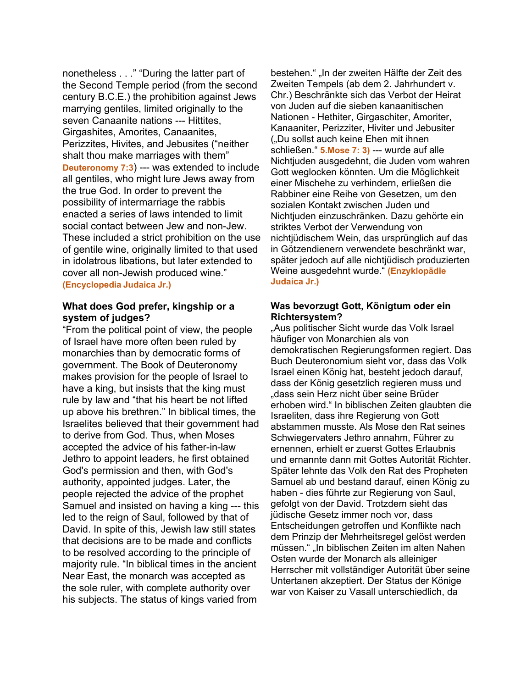nonetheless . . ." "During the latter part of the Second Temple period (from the second century B.C.E.) the prohibition against Jews marrying gentiles, limited originally to the seven Canaanite nations --- Hittites, Girgashites, Amorites, Canaanites, Perizzites, Hivites, and Jebusites ("neither shalt thou make marriages with them" **Deuteronomy 7:3**) --- was extended to include all gentiles, who might lure Jews away from the true God. In order to prevent the possibility of intermarriage the rabbis enacted a series of laws intended to limit social contact between Jew and non-Jew. These included a strict prohibition on the use of gentile wine, originally limited to that used in idolatrous libations, but later extended to cover all non-Jewish produced wine." **(Encyclopedia Judaica Jr.)**

#### **What does God prefer, kingship or a system of judges?**

"From the political point of view, the people of Israel have more often been ruled by monarchies than by democratic forms of government. The Book of Deuteronomy makes provision for the people of Israel to have a king, but insists that the king must rule by law and "that his heart be not lifted up above his brethren." In biblical times, the Israelites believed that their government had to derive from God. Thus, when Moses accepted the advice of his father-in-law Jethro to appoint leaders, he first obtained God's permission and then, with God's authority, appointed judges. Later, the people rejected the advice of the prophet Samuel and insisted on having a king --- this led to the reign of Saul, followed by that of David. In spite of this, Jewish law still states that decisions are to be made and conflicts to be resolved according to the principle of majority rule. "In biblical times in the ancient Near East, the monarch was accepted as the sole ruler, with complete authority over his subjects. The status of kings varied from

bestehen." "In der zweiten Hälfte der Zeit des Zweiten Tempels (ab dem 2. Jahrhundert v. Chr.) Beschränkte sich das Verbot der Heirat von Juden auf die sieben kanaanitischen Nationen - Hethiter, Girgaschiter, Amoriter, Kanaaniter, Perizziter, Hiviter und Jebusiter ("Du sollst auch keine Ehen mit ihnen schließen." **5.Mose 7: 3)** --- wurde auf alle Nichtjuden ausgedehnt, die Juden vom wahren Gott weglocken könnten. Um die Möglichkeit einer Mischehe zu verhindern, erließen die Rabbiner eine Reihe von Gesetzen, um den sozialen Kontakt zwischen Juden und Nichtjuden einzuschränken. Dazu gehörte ein striktes Verbot der Verwendung von nichtjüdischem Wein, das ursprünglich auf das in Götzendienern verwendete beschränkt war, später jedoch auf alle nichtjüdisch produzierten Weine ausgedehnt wurde." **(Enzyklopädie Judaica Jr.)**

#### **Was bevorzugt Gott, Königtum oder ein Richtersystem?**

"Aus politischer Sicht wurde das Volk Israel häufiger von Monarchien als von demokratischen Regierungsformen regiert. Das Buch Deuteronomium sieht vor, dass das Volk Israel einen König hat, besteht jedoch darauf, dass der König gesetzlich regieren muss und "dass sein Herz nicht über seine Brüder erhoben wird." In biblischen Zeiten glaubten die Israeliten, dass ihre Regierung von Gott abstammen musste. Als Mose den Rat seines Schwiegervaters Jethro annahm, Führer zu ernennen, erhielt er zuerst Gottes Erlaubnis und ernannte dann mit Gottes Autorität Richter. Später lehnte das Volk den Rat des Propheten Samuel ab und bestand darauf, einen König zu haben - dies führte zur Regierung von Saul, gefolgt von der David. Trotzdem sieht das jüdische Gesetz immer noch vor, dass Entscheidungen getroffen und Konflikte nach dem Prinzip der Mehrheitsregel gelöst werden müssen." "In biblischen Zeiten im alten Nahen Osten wurde der Monarch als alleiniger Herrscher mit vollständiger Autorität über seine Untertanen akzeptiert. Der Status der Könige war von Kaiser zu Vasall unterschiedlich, da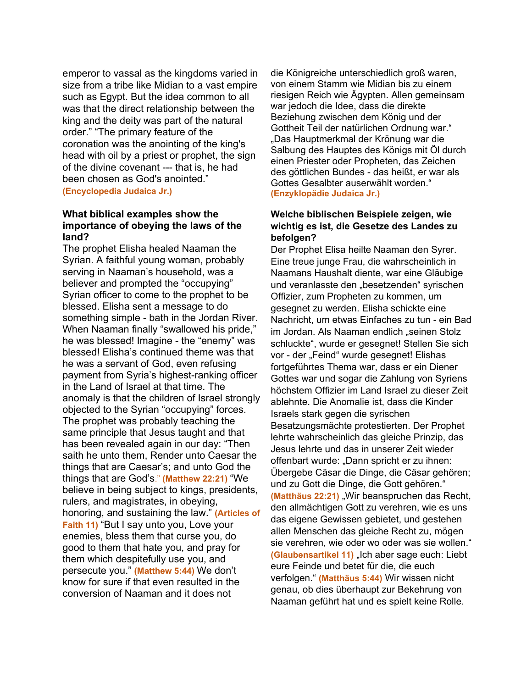emperor to vassal as the kingdoms varied in size from a tribe like Midian to a vast empire such as Egypt. But the idea common to all was that the direct relationship between the king and the deity was part of the natural order." "The primary feature of the coronation was the anointing of the king's head with oil by a priest or prophet, the sign of the divine covenant --- that is, he had been chosen as God's anointed." **(Encyclopedia Judaica Jr.)**

#### **What biblical examples show the importance of obeying the laws of the land?**

The prophet Elisha healed Naaman the Syrian. A faithful young woman, probably serving in Naaman's household, was a believer and prompted the "occupying" Syrian officer to come to the prophet to be blessed. Elisha sent a message to do something simple - bath in the Jordan River. When Naaman finally "swallowed his pride," he was blessed! Imagine - the "enemy" was blessed! Elisha's continued theme was that he was a servant of God, even refusing payment from Syria's highest-ranking officer in the Land of Israel at that time. The anomaly is that the children of Israel strongly objected to the Syrian "occupying" forces. The prophet was probably teaching the same principle that Jesus taught and that has been revealed again in our day: "Then saith he unto them, Render unto Caesar the things that are Caesar's; and unto God the things that are God's." **(Matthew 22:21)** "We believe in being subject to kings, presidents, rulers, and magistrates, in obeying, honoring, and sustaining the law." **(Articles of Faith 11)** "But I say unto you, Love your enemies, bless them that curse you, do good to them that hate you, and pray for them which despitefully use you, and persecute you." **(Matthew 5:44)** We don't know for sure if that even resulted in the conversion of Naaman and it does not

die Königreiche unterschiedlich groß waren, von einem Stamm wie Midian bis zu einem riesigen Reich wie Ägypten. Allen gemeinsam war jedoch die Idee, dass die direkte Beziehung zwischen dem König und der Gottheit Teil der natürlichen Ordnung war." "Das Hauptmerkmal der Krönung war die Salbung des Hauptes des Königs mit Öl durch einen Priester oder Propheten, das Zeichen des göttlichen Bundes - das heißt, er war als Gottes Gesalbter auserwählt worden." **(Enzyklopädie Judaica Jr.)**

#### **Welche biblischen Beispiele zeigen, wie wichtig es ist, die Gesetze des Landes zu befolgen?**

Der Prophet Elisa heilte Naaman den Syrer. Eine treue junge Frau, die wahrscheinlich in Naamans Haushalt diente, war eine Gläubige und veranlasste den "besetzenden" syrischen Offizier, zum Propheten zu kommen, um gesegnet zu werden. Elisha schickte eine Nachricht, um etwas Einfaches zu tun - ein Bad im Jordan. Als Naaman endlich "seinen Stolz schluckte", wurde er gesegnet! Stellen Sie sich vor - der "Feind" wurde gesegnet! Elishas fortgeführtes Thema war, dass er ein Diener Gottes war und sogar die Zahlung von Syriens höchstem Offizier im Land Israel zu dieser Zeit ablehnte. Die Anomalie ist, dass die Kinder Israels stark gegen die syrischen Besatzungsmächte protestierten. Der Prophet lehrte wahrscheinlich das gleiche Prinzip, das Jesus lehrte und das in unserer Zeit wieder offenbart wurde: "Dann spricht er zu ihnen: Übergebe Cäsar die Dinge, die Cäsar gehören; und zu Gott die Dinge, die Gott gehören." **(Matthäus 22:21)** "Wir beanspruchen das Recht, den allmächtigen Gott zu verehren, wie es uns das eigene Gewissen gebietet, und gestehen allen Menschen das gleiche Recht zu, mögen sie verehren, wie oder wo oder was sie wollen." **(Glaubensartikel 11)** "Ich aber sage euch: Liebt eure Feinde und betet für die, die euch verfolgen." **(Matthäus 5:44)** Wir wissen nicht genau, ob dies überhaupt zur Bekehrung von Naaman geführt hat und es spielt keine Rolle.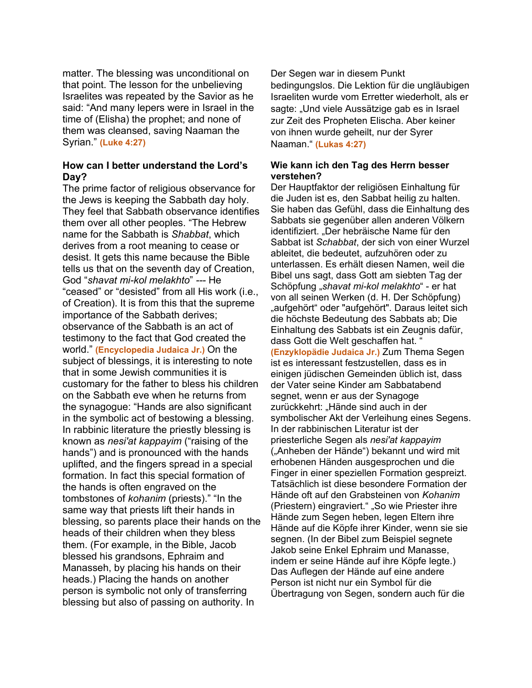matter. The blessing was unconditional on that point. The lesson for the unbelieving Israelites was repeated by the Savior as he said: "And many lepers were in Israel in the time of (Elisha) the prophet; and none of them was cleansed, saving Naaman the Syrian." **(Luke 4:27)**

#### **How can I better understand the Lord's Day?**

The prime factor of religious observance for the Jews is keeping the Sabbath day holy. They feel that Sabbath observance identifies them over all other peoples. "The Hebrew name for the Sabbath is *Shabbat*, which derives from a root meaning to cease or desist. It gets this name because the Bible tells us that on the seventh day of Creation, God "*shavat mi-kol melakhto*" *---* He "ceased" or "desisted" from all His work (i.e., of Creation). It is from this that the supreme importance of the Sabbath derives; observance of the Sabbath is an act of testimony to the fact that God created the world." **(Encyclopedia Judaica Jr.)** On the subject of blessings, it is interesting to note that in some Jewish communities it is customary for the father to bless his children on the Sabbath eve when he returns from the synagogue: "Hands are also significant in the symbolic act of bestowing a blessing. In rabbinic literature the priestly blessing is known as *nesi'at kappayim* ("raising of the hands") and is pronounced with the hands uplifted, and the fingers spread in a special formation. In fact this special formation of the hands is often engraved on the tombstones of *kohanim* (priests)." "In the same way that priests lift their hands in blessing, so parents place their hands on the heads of their children when they bless them. (For example, in the Bible, Jacob blessed his grandsons, Ephraim and Manasseh, by placing his hands on their heads.) Placing the hands on another person is symbolic not only of transferring blessing but also of passing on authority. In

Der Segen war in diesem Punkt bedingungslos. Die Lektion für die ungläubigen Israeliten wurde vom Erretter wiederholt, als er sagte: "Und viele Aussätzige gab es in Israel zur Zeit des Propheten Elischa. Aber keiner von ihnen wurde geheilt, nur der Syrer Naaman." **(Lukas 4:27)**

#### **Wie kann ich den Tag des Herrn besser verstehen?**

Der Hauptfaktor der religiösen Einhaltung für die Juden ist es, den Sabbat heilig zu halten. Sie haben das Gefühl, dass die Einhaltung des Sabbats sie gegenüber allen anderen Völkern identifiziert. "Der hebräische Name für den Sabbat ist *Schabbat*, der sich von einer Wurzel ableitet, die bedeutet, aufzuhören oder zu unterlassen. Es erhält diesen Namen, weil die Bibel uns sagt, dass Gott am siebten Tag der Schöpfung "*shavat mi-kol melakhto*" - er hat von all seinen Werken (d. H. Der Schöpfung) "aufgehört" oder "aufgehört". Daraus leitet sich die höchste Bedeutung des Sabbats ab; Die Einhaltung des Sabbats ist ein Zeugnis dafür, dass Gott die Welt geschaffen hat. " **(Enzyklopädie Judaica Jr.)** Zum Thema Segen ist es interessant festzustellen, dass es in einigen jüdischen Gemeinden üblich ist, dass der Vater seine Kinder am Sabbatabend segnet, wenn er aus der Synagoge zurückkehrt: "Hände sind auch in der symbolischer Akt der Verleihung eines Segens. In der rabbinischen Literatur ist der priesterliche Segen als *nesi'at kappayim* ("Anheben der Hände") bekannt und wird mit erhobenen Händen ausgesprochen und die Finger in einer speziellen Formation gespreizt. Tatsächlich ist diese besondere Formation der Hände oft auf den Grabsteinen von *Kohanim* (Priestern) eingraviert." "So wie Priester ihre Hände zum Segen heben, legen Eltern ihre Hände auf die Köpfe ihrer Kinder, wenn sie sie segnen. (In der Bibel zum Beispiel segnete Jakob seine Enkel Ephraim und Manasse, indem er seine Hände auf ihre Köpfe legte.) Das Auflegen der Hände auf eine andere Person ist nicht nur ein Symbol für die Übertragung von Segen, sondern auch für die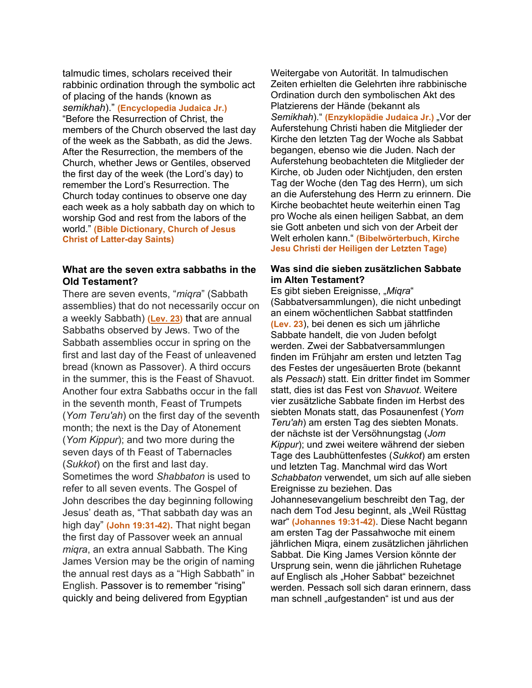talmudic times, scholars received their rabbinic ordination through the symbolic act of placing of the hands (known as *semikhah*)." **(Encyclopedia Judaica Jr.)** "Before the Resurrection of Christ, the members of the Church observed the last day of the week as the Sabbath, as did the Jews. After the Resurrection, the members of the Church, whether Jews or Gentiles, observed the first day of the week (the Lord's day) to remember the Lord's Resurrection. The Church today continues to observe one day each week as a holy sabbath day on which to worship God and rest from the labors of the world." **(Bible Dictionary, Church of Jesus Christ of Latter-day Saints)**

### **What are the seven extra sabbaths in the Old Testament?**

There are seven events, "*miqra*" (Sabbath assemblies) that do not necessarily occur on a weekly Sabbath) **[\(Lev. 23\)](https://bible.oremus.org/?passage=Leviticus%2023&version=nrsv)** that are annual Sabbaths observed by Jews. Two of the Sabbath assemblies occur in spring on the first and last day of the Feast of unleavened bread (known as Passover). A third occurs in the summer, this is the Feast of Shavuot. Another four extra Sabbaths occur in the fall in the seventh month, Feast of Trumpets (*Yom Teru'ah*) on the first day of the seventh month; the next is the Day of Atonement (*Yom Kippur*); and two more during the seven days of th Feast of Tabernacles (*Sukkot*) on the first and last day. Sometimes the word *Shabbaton* is used to refer to all seven events. The Gospel of John describes the day beginning following Jesus' death as, "That sabbath day was an high day" **(John 19:31-42).** That night began the first day of Passover week an annual *miqra*, an extra annual Sabbath. The King James Version may be the origin of naming the annual rest days as a "High Sabbath" in English. Passover is to remember "rising" quickly and being delivered from Egyptian

Weitergabe von Autorität. In talmudischen Zeiten erhielten die Gelehrten ihre rabbinische Ordination durch den symbolischen Akt des Platzierens der Hände (bekannt als Semikhah)." **(Enzyklopädie Judaica Jr.)** "Vor der Auferstehung Christi haben die Mitglieder der Kirche den letzten Tag der Woche als Sabbat begangen, ebenso wie die Juden. Nach der Auferstehung beobachteten die Mitglieder der Kirche, ob Juden oder Nichtjuden, den ersten Tag der Woche (den Tag des Herrn), um sich an die Auferstehung des Herrn zu erinnern. Die Kirche beobachtet heute weiterhin einen Tag pro Woche als einen heiligen Sabbat, an dem sie Gott anbeten und sich von der Arbeit der Welt erholen kann." **(Bibelwörterbuch, Kirche Jesu Christi der Heiligen der Letzten Tage)**

#### **Was sind die sieben zusätzlichen Sabbate im Alten Testament?**

Es gibt sieben Ereignisse, "Miqra" (Sabbatversammlungen), die nicht unbedingt an einem wöchentlichen Sabbat stattfinden **(Lev. 23**), bei denen es sich um jährliche Sabbate handelt, die von Juden befolgt werden. Zwei der Sabbatversammlungen finden im Frühjahr am ersten und letzten Tag des Festes der ungesäuerten Brote (bekannt als *Pessach*) statt. Ein dritter findet im Sommer statt, dies ist das Fest von *Shavuot*. Weitere vier zusätzliche Sabbate finden im Herbst des siebten Monats statt, das Posaunenfest (*Yom Teru'ah*) am ersten Tag des siebten Monats. der nächste ist der Versöhnungstag (*Jom Kippur*); und zwei weitere während der sieben Tage des Laubhüttenfestes (*Sukkot*) am ersten und letzten Tag. Manchmal wird das Wort *Schabbaton* verwendet, um sich auf alle sieben Ereignisse zu beziehen. Das Johannesevangelium beschreibt den Tag, der nach dem Tod Jesu beginnt, als "Weil Rüsttag war" **(Johannes 19:31-42)**. Diese Nacht begann am ersten Tag der Passahwoche mit einem jährlichen Miqra, einem zusätzlichen jährlichen Sabbat. Die King James Version könnte der Ursprung sein, wenn die jährlichen Ruhetage auf Englisch als "Hoher Sabbat" bezeichnet werden. Pessach soll sich daran erinnern, dass man schnell "aufgestanden" ist und aus der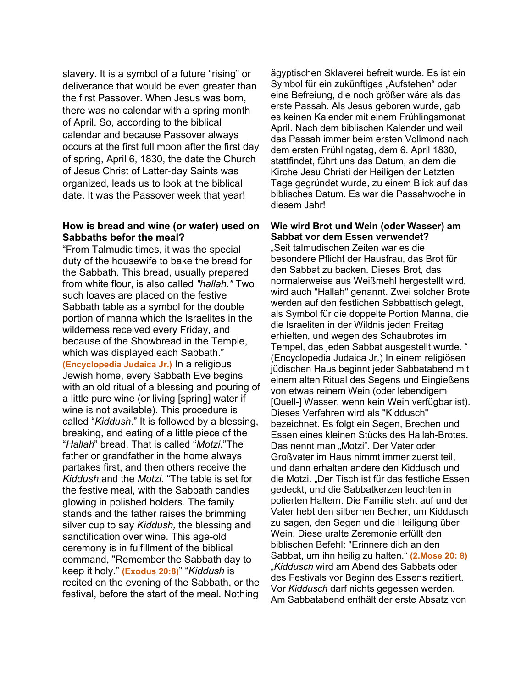slavery. It is a symbol of a future "rising" or deliverance that would be even greater than the first Passover. When Jesus was born, there was no calendar with a spring month of April. So, according to the biblical calendar and because Passover always occurs at the first full moon after the first day of spring, April 6, 1830, the date the Church of Jesus Christ of Latter-day Saints was organized, leads us to look at the biblical date. It was the Passover week that year!

#### **How is bread and wine (or water) used on Sabbaths befor the meal?**

"From Talmudic times, it was the special duty of the housewife to bake the bread for the Sabbath. This bread, usually prepared from white flour, is also called *"hallah."* Two such loaves are placed on the festive Sabbath table as a symbol for the double portion of manna which the Israelites in the wilderness received every Friday, and because of the Showbread in the Temple, which was displayed each Sabbath." **(Encyclopedia Judaica Jr.)** In a religious Jewish home, every Sabbath Eve begins with an old ritual of a blessing and pouring of a little pure wine (or living [spring] water if wine is not available). This procedure is called "*Kiddush*." It is followed by a blessing, breaking, and eating of a little piece of the "*Hallah*" bread. That is called "*Motzi*."The father or grandfather in the home always partakes first, and then others receive the *Kiddush* and the *Motzi*. "The table is set for the festive meal, with the Sabbath candles glowing in polished holders. The family stands and the father raises the brimming silver cup to say *Kiddush,* the blessing and sanctification over wine. This age-old ceremony is in fulfillment of the biblical command, "Remember the Sabbath day to keep it holy." **(Exodus 20:8)**" "*Kiddush* is recited on the evening of the Sabbath, or the festival, before the start of the meal. Nothing

ägyptischen Sklaverei befreit wurde. Es ist ein Symbol für ein zukünftiges "Aufstehen" oder eine Befreiung, die noch größer wäre als das erste Passah. Als Jesus geboren wurde, gab es keinen Kalender mit einem Frühlingsmonat April. Nach dem biblischen Kalender und weil das Passah immer beim ersten Vollmond nach dem ersten Frühlingstag, dem 6. April 1830, stattfindet, führt uns das Datum, an dem die Kirche Jesu Christi der Heiligen der Letzten Tage gegründet wurde, zu einem Blick auf das biblisches Datum. Es war die Passahwoche in diesem Jahr!

#### **Wie wird Brot und Wein (oder Wasser) am Sabbat vor dem Essen verwendet?**

"Seit talmudischen Zeiten war es die besondere Pflicht der Hausfrau, das Brot für den Sabbat zu backen. Dieses Brot, das normalerweise aus Weißmehl hergestellt wird, wird auch "Hallah" genannt. Zwei solcher Brote werden auf den festlichen Sabbattisch gelegt, als Symbol für die doppelte Portion Manna, die die Israeliten in der Wildnis jeden Freitag erhielten, und wegen des Schaubrotes im Tempel, das jeden Sabbat ausgestellt wurde. " (Encyclopedia Judaica Jr.) In einem religiösen jüdischen Haus beginnt jeder Sabbatabend mit einem alten Ritual des Segens und Eingießens von etwas reinem Wein (oder lebendigem [Quell-] Wasser, wenn kein Wein verfügbar ist). Dieses Verfahren wird als "Kiddusch" bezeichnet. Es folgt ein Segen, Brechen und Essen eines kleinen Stücks des Hallah-Brotes. Das nennt man "Motzi". Der Vater oder Großvater im Haus nimmt immer zuerst teil, und dann erhalten andere den Kiddusch und die Motzi. "Der Tisch ist für das festliche Essen gedeckt, und die Sabbatkerzen leuchten in polierten Haltern. Die Familie steht auf und der Vater hebt den silbernen Becher, um Kiddusch zu sagen, den Segen und die Heiligung über Wein. Diese uralte Zeremonie erfüllt den biblischen Befehl: "Erinnere dich an den Sabbat, um ihn heilig zu halten." **(2.Mose 20: 8)** "*Kiddusch* wird am Abend des Sabbats oder des Festivals vor Beginn des Essens rezitiert. Vor *Kiddusch* darf nichts gegessen werden. Am Sabbatabend enthält der erste Absatz von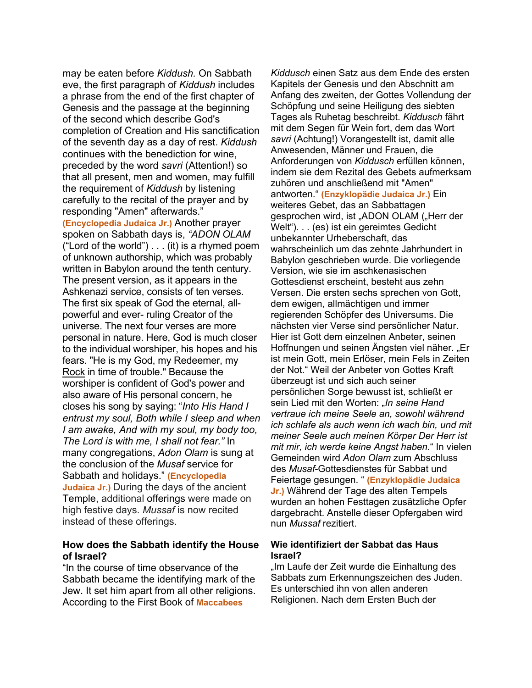may be eaten before *Kiddush.* On Sabbath eve, the first paragraph of *Kiddush* includes a phrase from the end of the first chapter of Genesis and the passage at the beginning of the second which describe God's completion of Creation and His sanctification of the seventh day as a day of rest. *Kiddush*  continues with the benediction for wine, preceded by the word *savri* (Attention!) so that all present, men and women, may fulfill the requirement of *Kiddush* by listening carefully to the recital of the prayer and by responding "Amen" afterwards." **(Encyclopedia Judaica Jr.)** Another prayer spoken on Sabbath days is, *"ADON OLAM* ("Lord of the world") . . . (it) is a rhymed poem of unknown authorship, which was probably written in Babylon around the tenth century. The present version, as it appears in the Ashkenazi service, consists of ten verses. The first six speak of God the eternal, allpowerful and ever- ruling Creator of the universe. The next four verses are more personal in nature. Here, God is much closer to the individual worshiper, his hopes and his fears. "He is my God, my Redeemer, my Rock in time of trouble." Because the worshiper is confident of God's power and also aware of His personal concern, he closes his song by saying: "*Into His Hand I entrust my soul, Both while I sleep and when I am awake, And with my soul, my body too, The Lord is with me, I shall not fear."* In many congregations, *Adon Olam* is sung at the conclusion of the *Musaf* service for Sabbath and holidays." **(Encyclopedia Judaica Jr.)** During the days of the ancient Temple, additional offerings were made on high festive days. *Mussaf* is now recited instead of these offerings.

#### **How does the Sabbath identify the House of Israel?**

"In the course of time observance of the Sabbath became the identifying mark of the Jew. It set him apart from all other religions. According to the First Book of **Maccabees** 

*Kiddusch* einen Satz aus dem Ende des ersten Kapitels der Genesis und den Abschnitt am Anfang des zweiten, der Gottes Vollendung der Schöpfung und seine Heiligung des siebten Tages als Ruhetag beschreibt. *Kiddusch* fährt mit dem Segen für Wein fort, dem das Wort *savri* (Achtung!) Vorangestellt ist, damit alle Anwesenden, Männer und Frauen, die Anforderungen von *Kiddusch* erfüllen können, indem sie dem Rezital des Gebets aufmerksam zuhören und anschließend mit "Amen" antworten." **(Enzyklopädie Judaica Jr.)** Ein weiteres Gebet, das an Sabbattagen gesprochen wird, ist "ADON OLAM ("Herr der Welt"). . . (es) ist ein gereimtes Gedicht unbekannter Urheberschaft, das wahrscheinlich um das zehnte Jahrhundert in Babylon geschrieben wurde. Die vorliegende Version, wie sie im aschkenasischen Gottesdienst erscheint, besteht aus zehn Versen. Die ersten sechs sprechen von Gott, dem ewigen, allmächtigen und immer regierenden Schöpfer des Universums. Die nächsten vier Verse sind persönlicher Natur. Hier ist Gott dem einzelnen Anbeter, seinen Hoffnungen und seinen Ängsten viel näher. "Er ist mein Gott, mein Erlöser, mein Fels in Zeiten der Not." Weil der Anbeter von Gottes Kraft überzeugt ist und sich auch seiner persönlichen Sorge bewusst ist, schließt er sein Lied mit den Worten: "In seine Hand *vertraue ich meine Seele an, sowohl während ich schlafe als auch wenn ich wach bin, und mit meiner Seele auch meinen Körper Der Herr ist mit mir, ich werde keine Angst haben*." In vielen Gemeinden wird *Adon Olam* zum Abschluss des *Musaf*-Gottesdienstes für Sabbat und Feiertage gesungen. " **(Enzyklopädie Judaica Jr.)** Während der Tage des alten Tempels wurden an hohen Festtagen zusätzliche Opfer dargebracht. Anstelle dieser Opfergaben wird nun *Mussaf* rezitiert.

#### **Wie identifiziert der Sabbat das Haus Israel?**

"Im Laufe der Zeit wurde die Einhaltung des Sabbats zum Erkennungszeichen des Juden. Es unterschied ihn von allen anderen Religionen. Nach dem Ersten Buch der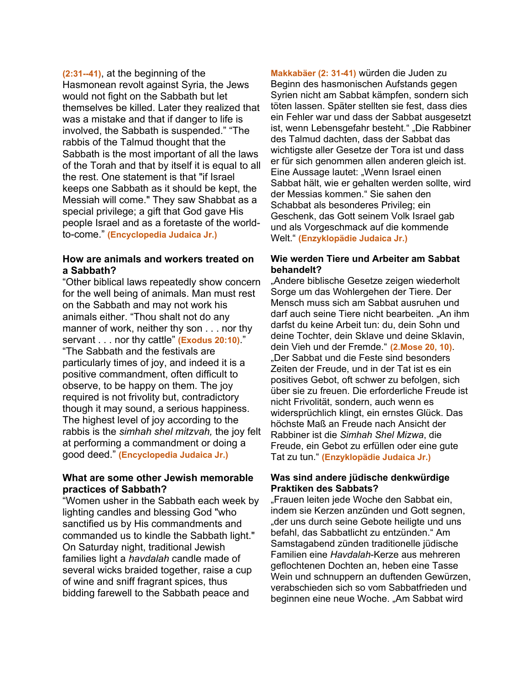**(2:31--41)**, at the beginning of the Hasmonean revolt against Syria, the Jews would not fight on the Sabbath but let themselves be killed. Later they realized that was a mistake and that if danger to life is involved, the Sabbath is suspended." "The rabbis of the Talmud thought that the Sabbath is the most important of all the laws of the Torah and that by itself it is equal to all the rest. One statement is that "if Israel keeps one Sabbath as it should be kept, the Messiah will come." They saw Shabbat as a special privilege; a gift that God gave His people Israel and as a foretaste of the worldto-come." **(Encyclopedia Judaica Jr.)**

#### **How are animals and workers treated on a Sabbath?**

"Other biblical laws repeatedly show concern for the well being of animals. Man must rest on the Sabbath and may not work his animals either. "Thou shalt not do any manner of work, neither thy son . . . nor thy servant . . . nor thy cattle" **(Exodus 20:10)**." "The Sabbath and the festivals are particularly times of joy, and indeed it is a positive commandment, often difficult to observe, to be happy on them. The joy required is not frivolity but, contradictory though it may sound, a serious happiness. The highest level of joy according to the rabbis is the *simhah shel mitzvah,* the joy felt at performing a commandment or doing a good deed." **(Encyclopedia Judaica Jr.)**

### **What are some other Jewish memorable practices of Sabbath?**

"Women usher in the Sabbath each week by lighting candles and blessing God "who sanctified us by His commandments and commanded us to kindle the Sabbath light." On Saturday night, traditional Jewish families light a *havdalah* candle made of several wicks braided together, raise a cup of wine and sniff fragrant spices, thus bidding farewell to the Sabbath peace and

**Makkabäer (2: 31-41)** würden die Juden zu Beginn des hasmonischen Aufstands gegen Syrien nicht am Sabbat kämpfen, sondern sich töten lassen. Später stellten sie fest, dass dies ein Fehler war und dass der Sabbat ausgesetzt ist, wenn Lebensgefahr besteht." "Die Rabbiner des Talmud dachten, dass der Sabbat das wichtigste aller Gesetze der Tora ist und dass er für sich genommen allen anderen gleich ist. Eine Aussage lautet: "Wenn Israel einen Sabbat hält, wie er gehalten werden sollte, wird der Messias kommen." Sie sahen den Schabbat als besonderes Privileg; ein Geschenk, das Gott seinem Volk Israel gab und als Vorgeschmack auf die kommende Welt." **(Enzyklopädie Judaica Jr.)**

#### **Wie werden Tiere und Arbeiter am Sabbat behandelt?**

"Andere biblische Gesetze zeigen wiederholt Sorge um das Wohlergehen der Tiere. Der Mensch muss sich am Sabbat ausruhen und darf auch seine Tiere nicht bearbeiten. "An ihm darfst du keine Arbeit tun: du, dein Sohn und deine Tochter, dein Sklave und deine Sklavin, dein Vieh und der Fremde." **(2.Mose 20, 10)**. "Der Sabbat und die Feste sind besonders Zeiten der Freude, und in der Tat ist es ein positives Gebot, oft schwer zu befolgen, sich über sie zu freuen. Die erforderliche Freude ist nicht Frivolität, sondern, auch wenn es widersprüchlich klingt, ein ernstes Glück. Das höchste Maß an Freude nach Ansicht der Rabbiner ist die *Simhah Shel Mizwa*, die Freude, ein Gebot zu erfüllen oder eine gute Tat zu tun." **(Enzyklopädie Judaica Jr.)**

#### **Was sind andere jüdische denkwürdige Praktiken des Sabbats?**

"Frauen leiten jede Woche den Sabbat ein, indem sie Kerzen anzünden und Gott segnen, der uns durch seine Gebote heiligte und uns befahl, das Sabbatlicht zu entzünden." Am Samstagabend zünden traditionelle jüdische Familien eine *Havdalah*-Kerze aus mehreren geflochtenen Dochten an, heben eine Tasse Wein und schnuppern an duftenden Gewürzen, verabschieden sich so vom Sabbatfrieden und beginnen eine neue Woche. "Am Sabbat wird